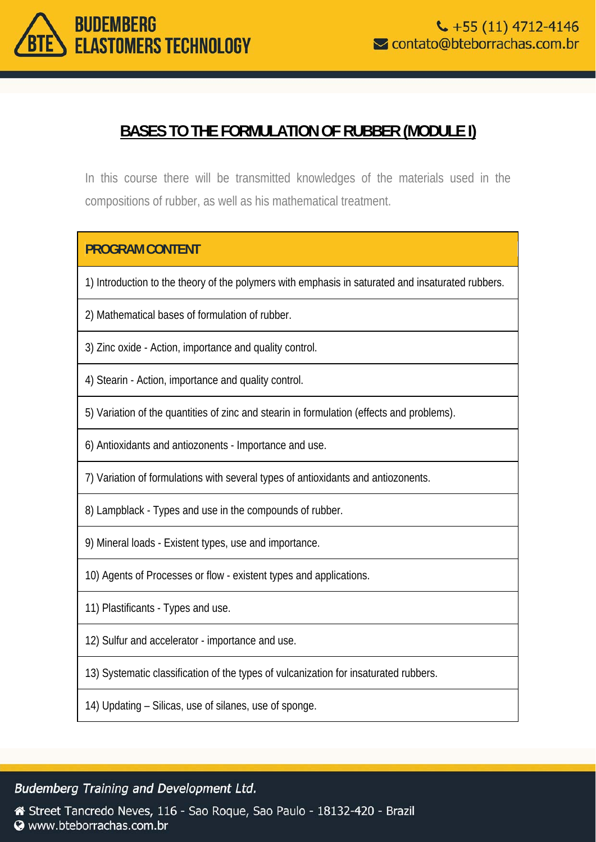

# **BASES TO THE FORMULATION OF RUBBER (MODULE I)**

In this course there will be transmitted knowledges of the materials used in the compositions of rubber, as well as his mathematical treatment.

## **PROGRAM CONTENT**

1) Introduction to the theory of the polymers with emphasis in saturated and insaturated rubbers.

2) Mathematical bases of formulation of rubber.

3) Zinc oxide - Action, importance and quality control.

4) Stearin - Action, importance and quality control.

5) Variation of the quantities of zinc and stearin in formulation (effects and problems).

6) Antioxidants and antiozonents - Importance and use.

7) Variation of formulations with several types of antioxidants and antiozonents.

8) Lampblack - Types and use in the compounds of rubber.

9) Mineral loads - Existent types, use and importance.

10) Agents of Processes or flow - existent types and applications.

11) Plastificants - Types and use.

12) Sulfur and accelerator - importance and use.

13) Systematic classification of the types of vulcanization for insaturated rubbers.

14) Updating – Silicas, use of silanes, use of sponge.

#### **Budemberg Training and Development Ltd.**

Street Tancredo Neves, 116 - Sao Roque, Sao Paulo - 18132-420 - Brazil Www.bteborrachas.com.br